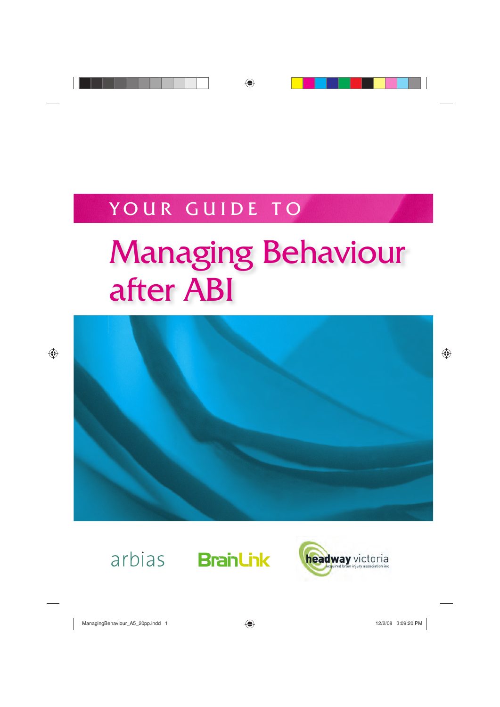## YOUR GUIDE TO

# Managing Behaviour after ABI





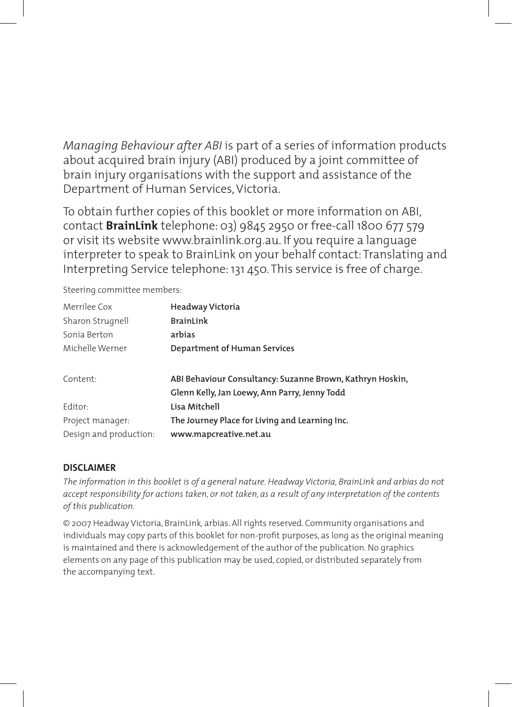*Managing Behaviour after ABI* is part of a series of information products about acquired brain injury (ABI) produced by a joint committee of brain injury organisations with the support and assistance of the Department of Human Services, Victoria.

To obtain further copies of this booklet or more information on ABI, contact **BrainLink** telephone: 03) 9845 2950 or free-call 1800 677 579 or visit its website www.brainlink.org.au. If you require a language interpreter to speak to BrainLink on your behalf contact: Translating and Interpreting Service telephone: 131 450. This service is free of charge.

Steering committee members:

| Headway Victoria                                          |  |  |
|-----------------------------------------------------------|--|--|
| <b>BrainLink</b>                                          |  |  |
| arbias                                                    |  |  |
| Department of Human Services                              |  |  |
| ABI Behaviour Consultancy: Suzanne Brown, Kathryn Hoskin, |  |  |
| Glenn Kelly, Jan Loewy, Ann Parry, Jenny Todd             |  |  |
| Lisa Mitchell                                             |  |  |
| The Journey Place for Living and Learning Inc.            |  |  |
| www.mapcreative.net.au                                    |  |  |
|                                                           |  |  |

#### **DISCLAIMER**

*The information in this booklet is of a general nature. Headway Victoria, BrainLink and arbias do not accept responsibility for actions taken, or not taken, as a result of any interpretation of the contents of this publication.*

© 2007 Headway Victoria, BrainLink*,* arbias. All rights reserved. Community organisations and individuals may copy parts of this booklet for non-profit purposes, as long as the original meaning is maintained and there is acknowledgement of the author of the publication. No graphics elements on any page of this publication may be used, copied, or distributed separately from the accompanying text.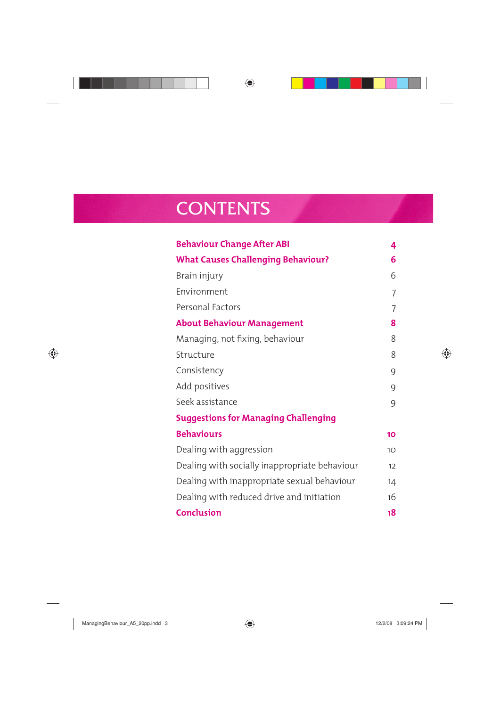### **CONTENTS**

| <b>Behaviour Change After ABI</b>             | 4              |
|-----------------------------------------------|----------------|
| <b>What Causes Challenging Behaviour?</b>     | 6              |
| Brain injury                                  | 6              |
| Environment                                   | 7              |
| Personal Factors                              | $\overline{7}$ |
| <b>About Behaviour Management</b>             | 8              |
| Managing, not fixing, behaviour               | 8              |
| Structure                                     | 8              |
| Consistency                                   | 9              |
| Add positives                                 | 9              |
| Seek assistance                               | 9              |
| <b>Suggestions for Managing Challenging</b>   |                |
| <b>Behaviours</b>                             | 10             |
| Dealing with aggression                       | 10             |
| Dealing with socially inappropriate behaviour | 12             |
| Dealing with inappropriate sexual behaviour   | 14             |
| Dealing with reduced drive and initiation     | 16             |
| <b>Conclusion</b>                             | 18             |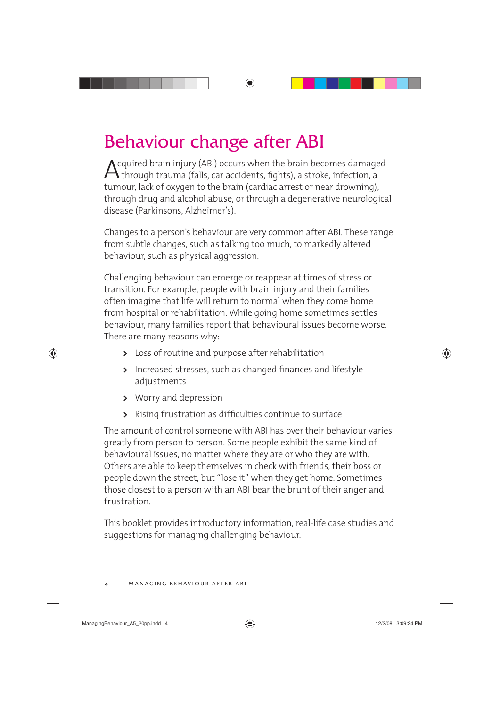### Behaviour change after ABI

Acquired brain injury (ABI) occurs when the brain becomes damaged<br>through trauma (falls, car accidents, fights), a stroke, infection, a<br>type and the brain (south a party (south a more designation) tumour, lack of oxygen to the brain (cardiac arrest or near drowning), through drug and alcohol abuse, or through a degenerative neurological disease (Parkinsons, Alzheimer's).

Changes to a person's behaviour are very common after ABI. These range from subtle changes, such as talking too much, to markedly altered behaviour, such as physical aggression.

Challenging behaviour can emerge or reappear at times of stress or transition. For example, people with brain injury and their families often imagine that life will return to normal when they come home from hospital or rehabilitation. While going home sometimes settles behaviour, many families report that behavioural issues become worse. There are many reasons why:

- **>** Loss of routine and purpose after rehabilitation
- > Increased stresses, such as changed finances and lifestyle adjustments
- **>** Worry and depression
- > Rising frustration as difficulties continue to surface

The amount of control someone with ABI has over their behaviour varies greatly from person to person. Some people exhibit the same kind of behavioural issues, no matter where they are or who they are with. Others are able to keep themselves in check with friends, their boss or people down the street, but "lose it" when they get home. Sometimes those closest to a person with an ABI bear the brunt of their anger and frustration.

This booklet provides introductory information, real-life case studies and suggestions for managing challenging behaviour.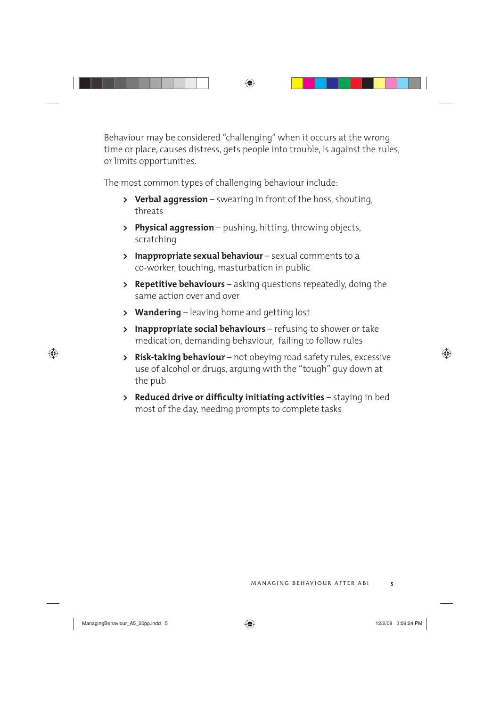Behaviour may be considered "challenging" when it occurs at the wrong time or place, causes distress, gets people into trouble, is against the rules, or limits opportunities.

The most common types of challenging behaviour include:

- **> Verbal aggression** swearing in front of the boss, shouting, threats
- **> Physical aggression** pushing, hitting, throwing objects, scratching
- **> Inappropriate sexual behaviour** sexual comments to a co-worker, touching, masturbation in public
- **> Repetitive behaviours** asking questions repeatedly, doing the same action over and over
- **> Wandering** leaving home and getting lost
- **> Inappropriate social behaviours** refusing to shower or take medication, demanding behaviour, failing to follow rules
- **> Risk-taking behaviour** not obeying road safety rules, excessive use of alcohol or drugs, arguing with the "tough" guy down at the pub
- **> Reduced drive or difficulty initiating activities** staying in bed most of the day, needing prompts to complete tasks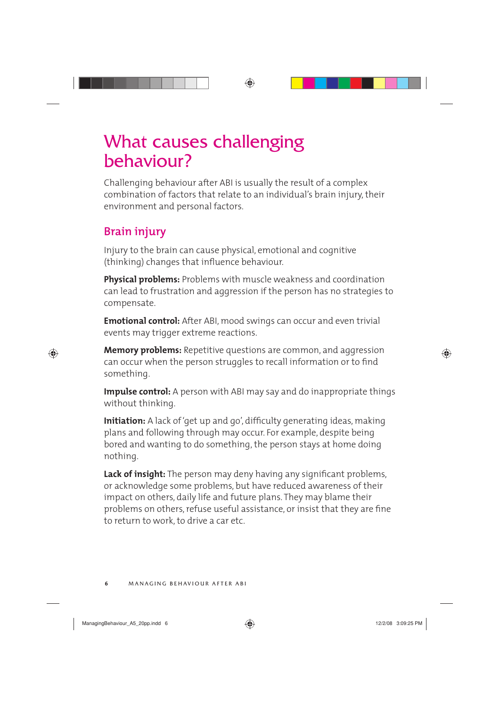### What causes challenging behaviour?

Challenging behaviour after ABI is usually the result of a complex combination of factors that relate to an individual's brain injury, their environment and personal factors.

#### **Brain injury**

Injury to the brain can cause physical, emotional and cognitive (thinking) changes that influence behaviour.

**Physical problems:** Problems with muscle weakness and coordination can lead to frustration and aggression if the person has no strategies to compensate.

**Emotional control:** After ABI, mood swings can occur and even trivial events may trigger extreme reactions.

**Memory problems:** Repetitive questions are common, and aggression can occur when the person struggles to recall information or to find something.

**Impulse control:** A person with ABI may say and do inappropriate things without thinking.

**Initiation:** A lack of 'get up and go', difficulty generating ideas, making plans and following through may occur. For example, despite being bored and wanting to do something, the person stays at home doing nothing.

**Lack of insight:** The person may deny having any significant problems, or acknowledge some problems, but have reduced awareness of their impact on others, daily life and future plans. They may blame their problems on others, refuse useful assistance, or insist that they are fine to return to work, to drive a car etc.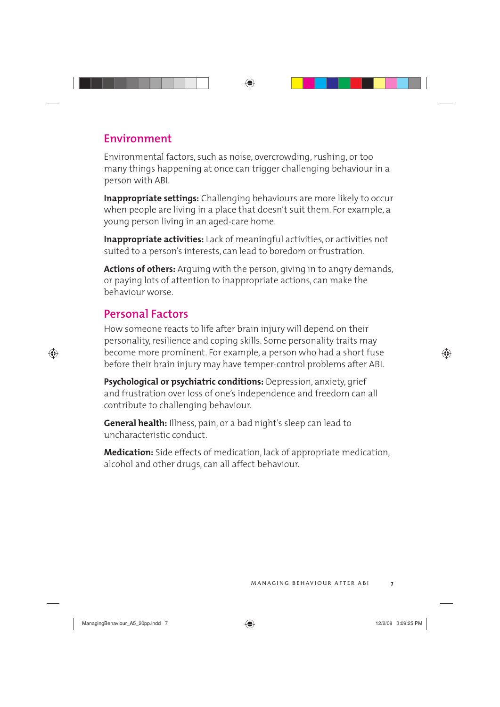#### **Environment**

Environmental factors, such as noise, overcrowding, rushing, or too many things happening at once can trigger challenging behaviour in a person with ABI.

**Inappropriate settings:** Challenging behaviours are more likely to occur when people are living in a place that doesn't suit them. For example, a young person living in an aged-care home.

**Inappropriate activities:** Lack of meaningful activities, or activities not suited to a person's interests, can lead to boredom or frustration.

**Actions of others:** Arguing with the person, giving in to angry demands, or paying lots of attention to inappropriate actions, can make the behaviour worse.

#### **Personal Factors**

How someone reacts to life after brain injury will depend on their personality, resilience and coping skills. Some personality traits may become more prominent. For example, a person who had a short fuse before their brain injury may have temper-control problems after ABI.

**Psychological or psychiatric conditions:** Depression, anxiety, grief and frustration over loss of one's independence and freedom can all contribute to challenging behaviour.

**General health:** Illness, pain, or a bad night's sleep can lead to uncharacteristic conduct.

**Medication:** Side effects of medication, lack of appropriate medication, alcohol and other drugs, can all affect behaviour.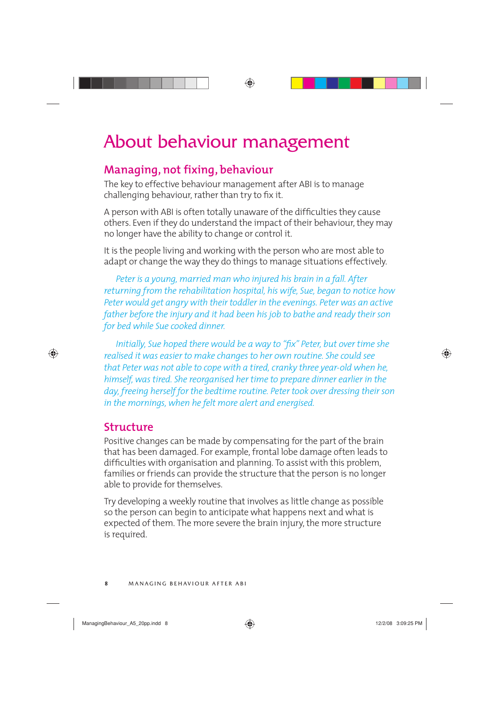### About behaviour management

#### **Managing, not fixing, behaviour**

The key to effective behaviour management after ABI is to manage challenging behaviour, rather than try to fix it.

A person with ABI is often totally unaware of the difficulties they cause others. Even if they do understand the impact of their behaviour, they may no longer have the ability to change or control it.

It is the people living and working with the person who are most able to adapt or change the way they do things to manage situations effectively.

*Peter is a young, married man who injured his brain in a fall. After returning from the rehabilitation hospital, his wife, Sue, began to notice how Peter would get angry with their toddler in the evenings. Peter was an active father before the injury and it had been his job to bathe and ready their son for bed while Sue cooked dinner.* 

*Initially, Sue hoped there would be a way to "fix" Peter, but over time she realised it was easier to make changes to her own routine. She could see that Peter was not able to cope with a tired, cranky three year-old when he, himself, was tired. She reorganised her time to prepare dinner earlier in the day, freeing herself for the bedtime routine. Peter took over dressing their son in the mornings, when he felt more alert and energised.*

#### **Structure**

Positive changes can be made by compensating for the part of the brain that has been damaged. For example, frontal lobe damage often leads to difficulties with organisation and planning. To assist with this problem, families or friends can provide the structure that the person is no longer able to provide for themselves.

Try developing a weekly routine that involves as little change as possible so the person can begin to anticipate what happens next and what is expected of them. The more severe the brain injury, the more structure is required.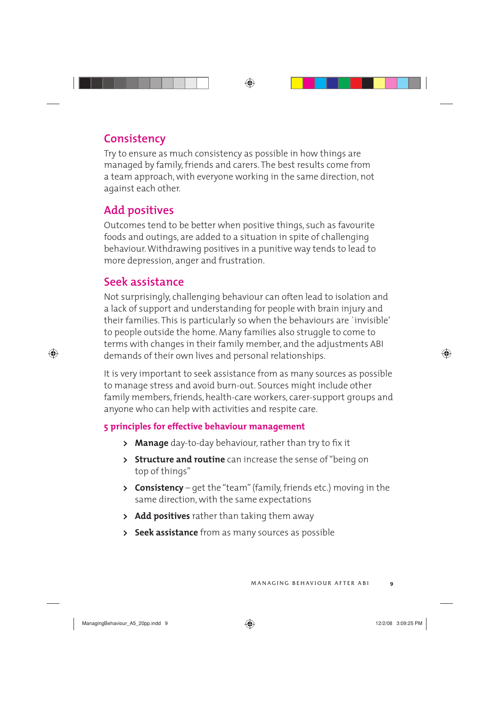#### **Consistency**

Try to ensure as much consistency as possible in how things are managed by family, friends and carers. The best results come from a team approach, with everyone working in the same direction, not against each other.

#### **Add positives**

Outcomes tend to be better when positive things, such as favourite foods and outings, are added to a situation in spite of challenging behaviour. Withdrawing positives in a punitive way tends to lead to more depression, anger and frustration.

#### **Seek assistance**

Not surprisingly, challenging behaviour can often lead to isolation and a lack of support and understanding for people with brain injury and their families. This is particularly so when the behaviours are `invisible' to people outside the home. Many families also struggle to come to terms with changes in their family member, and the adjustments ABI demands of their own lives and personal relationships.

It is very important to seek assistance from as many sources as possible to manage stress and avoid burn-out. Sources might include other family members, friends, health-care workers, carer-support groups and anyone who can help with activities and respite care.

#### **5 principles for effective behaviour management**

- **> Manage** day-to-day behaviour, rather than try to fix it
- **> Structure and routine** can increase the sense of "being on top of things"
- **> Consistency** get the "team" (family, friends etc.) moving in the same direction, with the same expectations
- **> Add positives** rather than taking them away
- **> Seek assistance** from as many sources as possible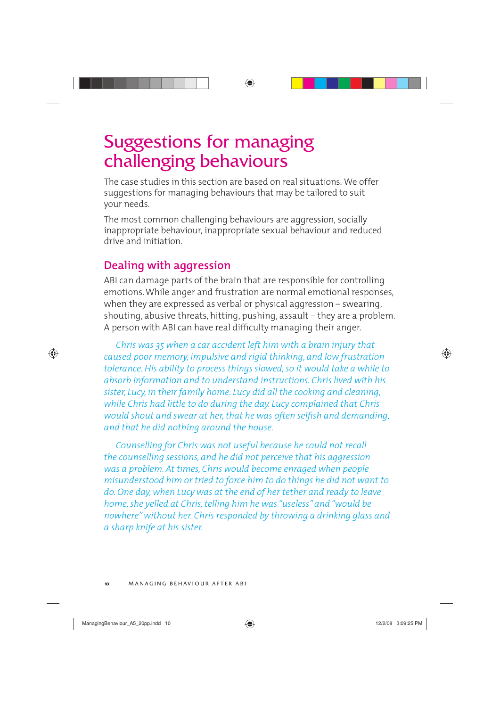### Suggestions for managing challenging behaviours

The case studies in this section are based on real situations. We offer suggestions for managing behaviours that may be tailored to suit your needs.

The most common challenging behaviours are aggression, socially inappropriate behaviour, inappropriate sexual behaviour and reduced drive and initiation.

#### **Dealing with aggression**

ABI can damage parts of the brain that are responsible for controlling emotions. While anger and frustration are normal emotional responses, when they are expressed as verbal or physical aggression – swearing, shouting, abusive threats, hitting, pushing, assault – they are a problem. A person with ABI can have real difficulty managing their anger.

*Chris was 35 when a car accident left him with a brain injury that caused poor memory, impulsive and rigid thinking, and low frustration tolerance. His ability to process things slowed, so it would take a while to absorb information and to understand instructions. Chris lived with his sister, Lucy, in their family home. Lucy did all the cooking and cleaning, while Chris had little to do during the day. Lucy complained that Chris would shout and swear at her, that he was often selfish and demanding, and that he did nothing around the house.* 

*Counselling for Chris was not useful because he could not recall the counselling sessions, and he did not perceive that his aggression was a problem. At times, Chris would become enraged when people misunderstood him or tried to force him to do things he did not want to do. One day, when Lucy was at the end of her tether and ready to leave home, she yelled at Chris, telling him he was "useless" and "would be nowhere" without her. Chris responded by throwing a drinking glass and a sharp knife at his sister.*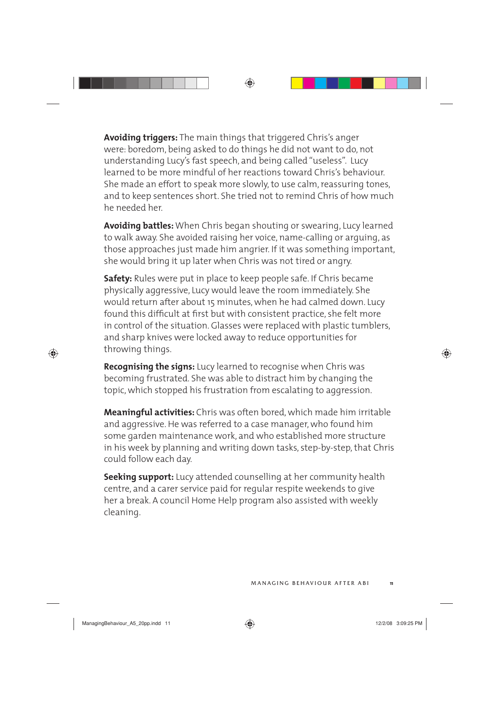**Avoiding triggers:** The main things that triggered Chris's anger were: boredom, being asked to do things he did not want to do, not understanding Lucy's fast speech, and being called "useless". Lucy learned to be more mindful of her reactions toward Chris's behaviour. She made an effort to speak more slowly, to use calm, reassuring tones, and to keep sentences short. She tried not to remind Chris of how much he needed her.

**Avoiding battles:** When Chris began shouting or swearing, Lucy learned to walk away. She avoided raising her voice, name-calling or arguing, as those approaches just made him angrier. If it was something important, she would bring it up later when Chris was not tired or angry.

**Safety:** Rules were put in place to keep people safe. If Chris became physically aggressive, Lucy would leave the room immediately. She would return after about 15 minutes, when he had calmed down. Lucy found this difficult at first but with consistent practice, she felt more in control of the situation. Glasses were replaced with plastic tumblers, and sharp knives were locked away to reduce opportunities for throwing things.

**Recognising the signs:** Lucy learned to recognise when Chris was becoming frustrated. She was able to distract him by changing the topic, which stopped his frustration from escalating to aggression.

**Meaningful activities:** Chris was often bored, which made him irritable and aggressive. He was referred to a case manager, who found him some garden maintenance work, and who established more structure in his week by planning and writing down tasks, step-by-step, that Chris could follow each day.

**Seeking support:** Lucy attended counselling at her community health centre, and a carer service paid for regular respite weekends to give her a break. A council Home Help program also assisted with weekly cleaning.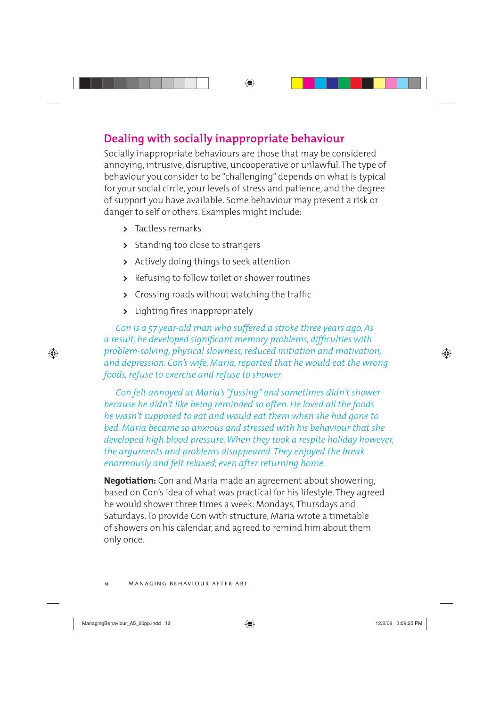#### **Dealing with socially inappropriate behaviour**

Socially inappropriate behaviours are those that may be considered annoying, intrusive, disruptive, uncooperative or unlawful. The type of behaviour you consider to be "challenging" depends on what is typical for your social circle, your levels of stress and patience, and the degree of support you have available. Some behaviour may present a risk or danger to self or others. Examples might include:

- **>** Tactless remarks
- **>** Standing too close to strangers
- **>** Actively doing things to seek attention
- **>** Refusing to follow toilet or shower routines
- **>** Crossing roads without watching the traffic
- **>** Lighting fires inappropriately

*Con is a 57 year-old man who suffered a stroke three years ago. As*  a result, he developed significant memory problems, difficulties with *problem-solving, physical slowness, reduced initiation and motivation, and depression. Con's wife, Maria, reported that he would eat the wrong foods, refuse to exercise and refuse to shower.*

*Con felt annoyed at Maria's "fussing" and sometimes didn't shower because he didn't like being reminded so often. He loved all the foods he wasn't supposed to eat and would eat them when she had gone to bed. Maria became so anxious and stressed with his behaviour that she developed high blood pressure. When they took a respite holiday however, the arguments and problems disappeared. They enjoyed the break enormously and felt relaxed, even after returning home.*

**Negotiation:** Con and Maria made an agreement about showering, based on Con's idea of what was practical for his lifestyle. They agreed he would shower three times a week: Mondays, Thursdays and Saturdays. To provide Con with structure, Maria wrote a timetable of showers on his calendar, and agreed to remind him about them only once.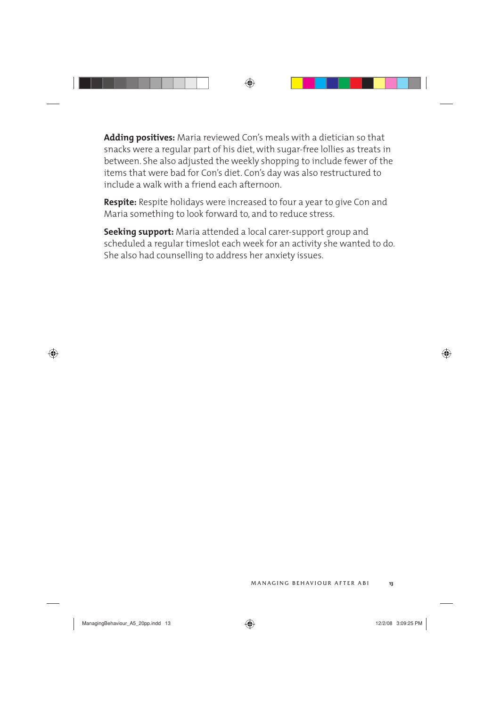**Adding positives:** Maria reviewed Con's meals with a dietician so that snacks were a regular part of his diet, with sugar-free lollies as treats in between. She also adjusted the weekly shopping to include fewer of the items that were bad for Con's diet. Con's day was also restructured to include a walk with a friend each afternoon.

**Respite:** Respite holidays were increased to four a year to give Con and Maria something to look forward to, and to reduce stress.

**Seeking support:** Maria attended a local carer-support group and scheduled a regular timeslot each week for an activity she wanted to do. She also had counselling to address her anxiety issues.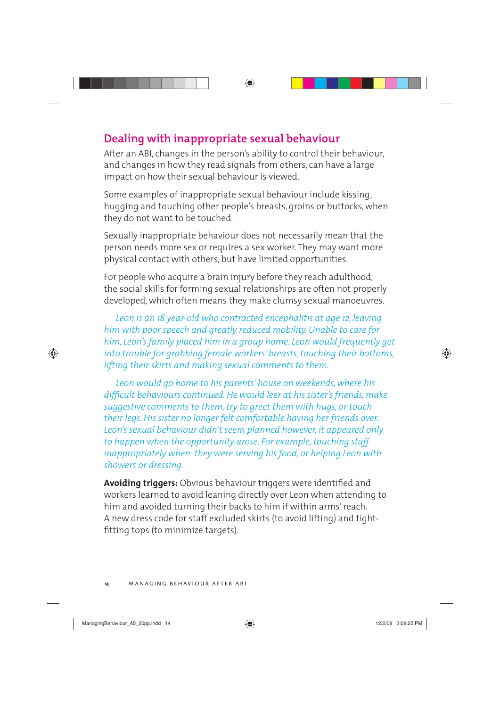#### **Dealing with inappropriate sexual behaviour**

After an ABI, changes in the person's ability to control their behaviour, and changes in how they read signals from others, can have a large impact on how their sexual behaviour is viewed.

Some examples of inappropriate sexual behaviour include kissing, hugging and touching other people's breasts, groins or buttocks, when they do not want to be touched.

Sexually inappropriate behaviour does not necessarily mean that the person needs more sex or requires a sex worker. They may want more physical contact with others, but have limited opportunities.

For people who acquire a brain injury before they reach adulthood, the social skills for forming sexual relationships are often not properly developed, which often means they make clumsy sexual manoeuvres.

*Leon is an 18 year-old who contracted encephalitis at age 12, leaving him with poor speech and greatly reduced mobility. Unable to care for him, Leon's family placed him in a group home. Leon would frequently get into trouble for grabbing female workers' breasts, touching their bottoms, lifting their skirts and making sexual comments to them.* 

*Leon would go home to his parents' house on weekends, where his*  difficult behaviours continued. He would leer at his sister's friends, make *suggestive comments to them, try to greet them with hugs, or touch their legs. His sister no longer felt comfortable having her friends over. Leon's sexual behaviour didn't seem planned however, it appeared only to happen when the opportunity arose. For example, touching staff inappropriately when they were serving his food, or helping Leon with showers or dressing.*

**Avoiding triggers:** Obvious behaviour triggers were identified and workers learned to avoid leaning directly over Leon when attending to him and avoided turning their backs to him if within arms' reach. A new dress code for staff excluded skirts (to avoid lifting) and tightfitting tops (to minimize targets).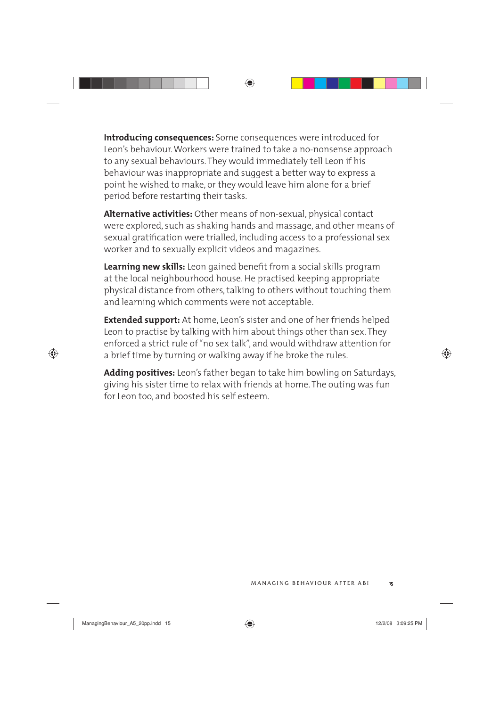**Introducing consequences:** Some consequences were introduced for Leon's behaviour. Workers were trained to take a no-nonsense approach to any sexual behaviours. They would immediately tell Leon if his behaviour was inappropriate and suggest a better way to express a point he wished to make, or they would leave him alone for a brief period before restarting their tasks.

**Alternative activities:** Other means of non-sexual, physical contact were explored, such as shaking hands and massage, and other means of sexual gratification were trialled, including access to a professional sex worker and to sexually explicit videos and magazines.

Learning new skills: Leon gained benefit from a social skills program at the local neighbourhood house. He practised keeping appropriate physical distance from others, talking to others without touching them and learning which comments were not acceptable.

**Extended support:** At home, Leon's sister and one of her friends helped Leon to practise by talking with him about things other than sex. They enforced a strict rule of "no sex talk", and would withdraw attention for a brief time by turning or walking away if he broke the rules.

**Adding positives:** Leon's father began to take him bowling on Saturdays, giving his sister time to relax with friends at home. The outing was fun for Leon too, and boosted his self esteem.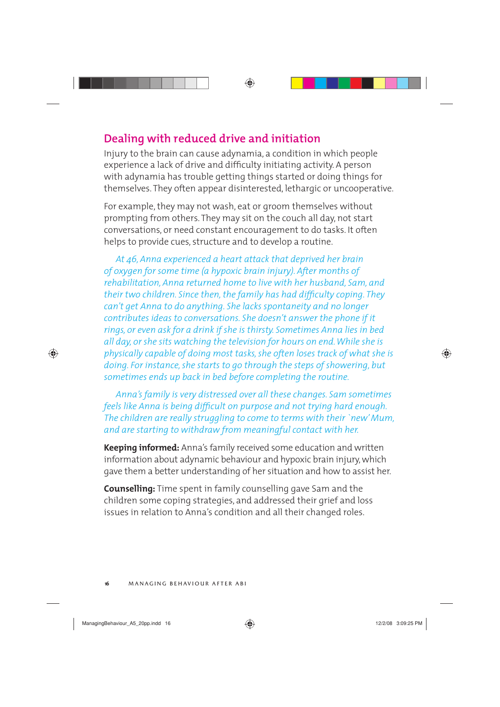#### **Dealing with reduced drive and initiation**

Injury to the brain can cause adynamia, a condition in which people experience a lack of drive and difficulty initiating activity. A person with adynamia has trouble getting things started or doing things for themselves. They often appear disinterested, lethargic or uncooperative.

For example, they may not wash, eat or groom themselves without prompting from others. They may sit on the couch all day, not start conversations, or need constant encouragement to do tasks. It often helps to provide cues, structure and to develop a routine.

*At 46, Anna experienced a heart attack that deprived her brain of oxygen for some time (a hypoxic brain injury). After months of rehabilitation, Anna returned home to live with her husband, Sam, and their two children. Since then, the family has had difficulty coping. They can't get Anna to do anything. She lacks spontaneity and no longer contributes ideas to conversations. She doesn't answer the phone if it rings, or even ask for a drink if she is thirsty. Sometimes Anna lies in bed all day, or she sits watching the television for hours on end. While she is physically capable of doing most tasks, she often loses track of what she is doing. For instance, she starts to go through the steps of showering, but sometimes ends up back in bed before completing the routine.* 

*Anna's family is very distressed over all these changes. Sam sometimes feels like Anna is being difficult on purpose and not trying hard enough. The children are really struggling to come to terms with their `new' Mum, and are starting to withdraw from meaningful contact with her.*

**Keeping informed:** Anna's family received some education and written information about adynamic behaviour and hypoxic brain injury, which gave them a better understanding of her situation and how to assist her.

**Counselling:** Time spent in family counselling gave Sam and the children some coping strategies, and addressed their grief and loss issues in relation to Anna's condition and all their changed roles.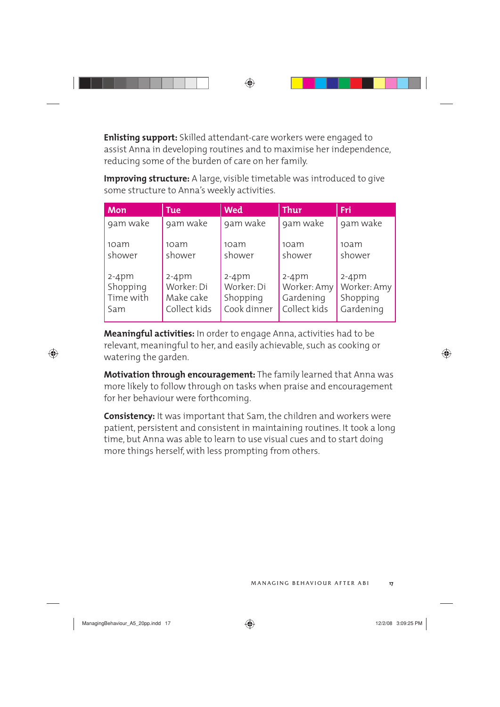**Enlisting support:** Skilled attendant-care workers were engaged to assist Anna in developing routines and to maximise her independence, reducing some of the burden of care on her family.

**Improving structure:** A large, visible timetable was introduced to give some structure to Anna's weekly activities.

| <b>Mon</b> | <b>Tue</b>   | <b>Wed</b>  | Thur         | Fri         |
|------------|--------------|-------------|--------------|-------------|
| 9am wake   | 9am wake     | 9am wake    | 9am wake     | 9am wake    |
| 10am       | 10am         | 10am        | 10am         | 10am        |
| shower     | shower       | shower      | shower       | shower      |
| $2-4pm$    | $2-4$ pm     | $2-4$ pm    | $2-4$ pm     | $2-4$ pm    |
| Shopping   | Worker: Di   | Worker: Di  | Worker: Amy  | Worker: Amy |
| Time with  | Make cake    | Shopping    | Gardening    | Shopping    |
| Sam        | Collect kids | Cook dinner | Collect kids | Gardening   |

**Meaningful activities:** In order to engage Anna, activities had to be relevant, meaningful to her, and easily achievable, such as cooking or watering the garden.

**Motivation through encouragement:** The family learned that Anna was more likely to follow through on tasks when praise and encouragement for her behaviour were forthcoming.

**Consistency:** It was important that Sam, the children and workers were patient, persistent and consistent in maintaining routines. It took a long time, but Anna was able to learn to use visual cues and to start doing more things herself, with less prompting from others.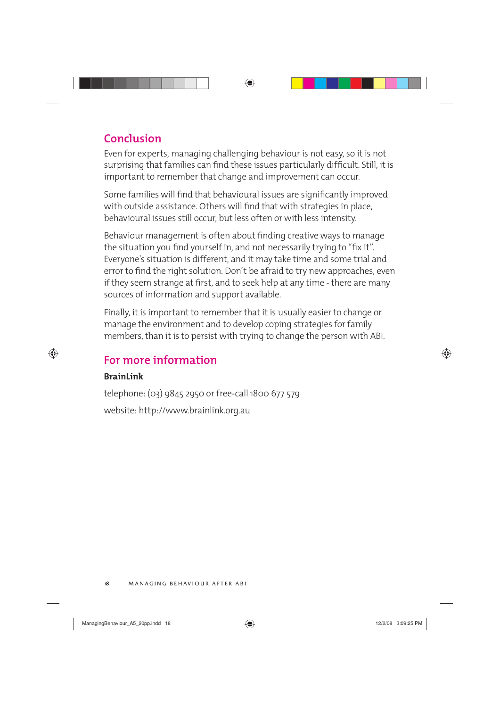#### **Conclusion**

Even for experts, managing challenging behaviour is not easy, so it is not surprising that families can find these issues particularly difficult. Still, it is important to remember that change and improvement can occur.

Some families will find that behavioural issues are significantly improved with outside assistance. Others will find that with strategies in place, behavioural issues still occur, but less often or with less intensity.

Behaviour management is often about finding creative ways to manage the situation you find yourself in, and not necessarily trying to "fix it". Everyone's situation is different, and it may take time and some trial and error to find the right solution. Don't be afraid to try new approaches, even if they seem strange at first, and to seek help at any time - there are many sources of information and support available.

Finally, it is important to remember that it is usually easier to change or manage the environment and to develop coping strategies for family members, than it is to persist with trying to change the person with ABI.

#### **For more information**

#### **BrainLink**

telephone: (03) 9845 2950 or free-call 1800 677 579 website: http://www.brainlink.org.au